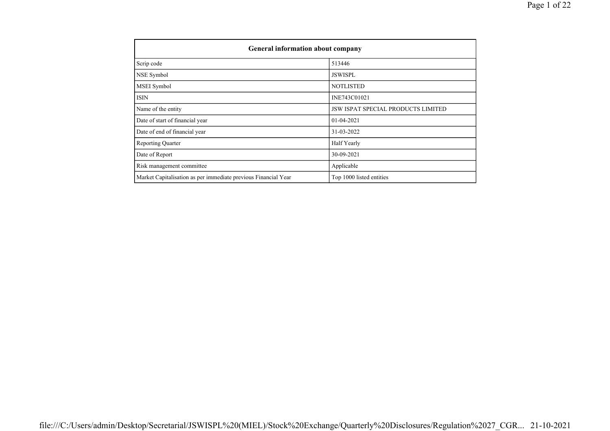| General information about company                              |                                           |  |  |  |  |  |  |  |
|----------------------------------------------------------------|-------------------------------------------|--|--|--|--|--|--|--|
| Scrip code                                                     | 513446                                    |  |  |  |  |  |  |  |
| NSE Symbol                                                     | <b>JSWISPL</b>                            |  |  |  |  |  |  |  |
| MSEI Symbol                                                    | <b>NOTLISTED</b>                          |  |  |  |  |  |  |  |
| <b>ISIN</b>                                                    | INE743C01021                              |  |  |  |  |  |  |  |
| Name of the entity                                             | <b>JSW ISPAT SPECIAL PRODUCTS LIMITED</b> |  |  |  |  |  |  |  |
| Date of start of financial year                                | 01-04-2021                                |  |  |  |  |  |  |  |
| Date of end of financial year                                  | 31-03-2022                                |  |  |  |  |  |  |  |
| <b>Reporting Quarter</b>                                       | Half Yearly                               |  |  |  |  |  |  |  |
| Date of Report                                                 | 30-09-2021                                |  |  |  |  |  |  |  |
| Risk management committee                                      | Applicable                                |  |  |  |  |  |  |  |
| Market Capitalisation as per immediate previous Financial Year | Top 1000 listed entities                  |  |  |  |  |  |  |  |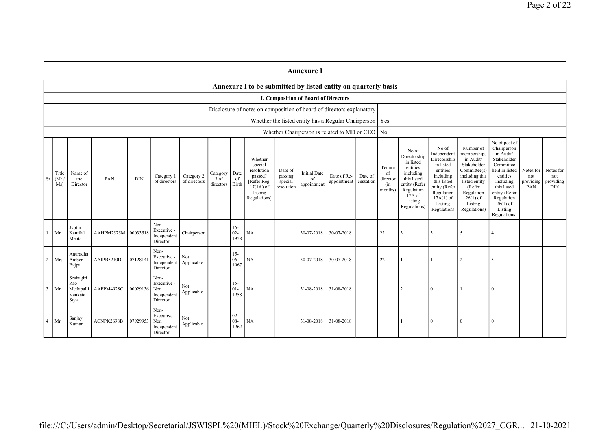|                |                                                                                                                                                                                                                                                                                                                                                                                                                                                            |                                                   |            |          |                                                       |                   |                                            |                                                                                                                                                |                                                                                                                                                                   |                                                                                                                                                                          | <b>Annexure I</b>                                                                                                                                                                                       |                                      |                                             |                |   |              |                |          |  |  |
|----------------|------------------------------------------------------------------------------------------------------------------------------------------------------------------------------------------------------------------------------------------------------------------------------------------------------------------------------------------------------------------------------------------------------------------------------------------------------------|---------------------------------------------------|------------|----------|-------------------------------------------------------|-------------------|--------------------------------------------|------------------------------------------------------------------------------------------------------------------------------------------------|-------------------------------------------------------------------------------------------------------------------------------------------------------------------|--------------------------------------------------------------------------------------------------------------------------------------------------------------------------|---------------------------------------------------------------------------------------------------------------------------------------------------------------------------------------------------------|--------------------------------------|---------------------------------------------|----------------|---|--------------|----------------|----------|--|--|
|                | Annexure I to be submitted by listed entity on quarterly basis                                                                                                                                                                                                                                                                                                                                                                                             |                                                   |            |          |                                                       |                   |                                            |                                                                                                                                                |                                                                                                                                                                   |                                                                                                                                                                          |                                                                                                                                                                                                         |                                      |                                             |                |   |              |                |          |  |  |
|                | I. Composition of Board of Directors                                                                                                                                                                                                                                                                                                                                                                                                                       |                                                   |            |          |                                                       |                   |                                            |                                                                                                                                                |                                                                                                                                                                   |                                                                                                                                                                          |                                                                                                                                                                                                         |                                      |                                             |                |   |              |                |          |  |  |
|                | Disclosure of notes on composition of board of directors explanatory                                                                                                                                                                                                                                                                                                                                                                                       |                                                   |            |          |                                                       |                   |                                            |                                                                                                                                                |                                                                                                                                                                   |                                                                                                                                                                          |                                                                                                                                                                                                         |                                      |                                             |                |   |              |                |          |  |  |
|                |                                                                                                                                                                                                                                                                                                                                                                                                                                                            |                                                   |            |          |                                                       |                   |                                            |                                                                                                                                                |                                                                                                                                                                   |                                                                                                                                                                          | Whether the listed entity has a Regular Chairperson   Yes                                                                                                                                               |                                      |                                             |                |   |              |                |          |  |  |
|                |                                                                                                                                                                                                                                                                                                                                                                                                                                                            |                                                   |            |          |                                                       |                   |                                            |                                                                                                                                                |                                                                                                                                                                   |                                                                                                                                                                          | Whether Chairperson is related to MD or CEO                                                                                                                                                             |                                      |                                             | N <sub>o</sub> |   |              |                |          |  |  |
|                | Whether<br>special<br>resolution<br>Date of<br><b>Initial Date</b><br>Title<br>Name of<br>Date<br>Category<br>Date of Re-<br>Category 2<br>passed?<br>passing<br>Date of<br>Category 1<br>Sr<br>(Mr)<br>PAN<br><b>DIN</b><br>the<br>3 of<br>of<br>of<br>of directors<br>of directors<br>[Refer Reg.<br>special<br>cessation<br>appointment<br>Birth<br>Ms)<br>directors<br>appointment<br>Director<br>$17(1A)$ of<br>resolution<br>Listing<br>Regulations] |                                                   |            |          |                                                       |                   | Tenure<br>of<br>director<br>(in<br>months) | No of<br>Directorship<br>in listed<br>entities<br>including<br>this listed<br>entity (Refer<br>Regulation<br>17A of<br>Listing<br>Regulations) | No of<br>Independent<br>Directorship<br>in listed<br>entities<br>including<br>this listed<br>entity (Refer<br>Regulation<br>$17A(1)$ of<br>Listing<br>Regulations | Number of<br>memberships<br>in Audit/<br>Stakeholder<br>Committee(s)<br>including this<br>listed entity<br>(Refer<br>Regulation<br>$26(1)$ of<br>Listing<br>Regulations) | No of post of<br>Chairperson<br>in Audit/<br>Stakeholder<br>Committee<br>held in listed<br>entities<br>including<br>this listed<br>entity (Refer<br>Regulation<br>$26(1)$ of<br>Listing<br>Regulations) | Notes for<br>not<br>providing<br>PAN | Notes for<br>not<br>providing<br><b>DIN</b> |                |   |              |                |          |  |  |
|                | Mr                                                                                                                                                                                                                                                                                                                                                                                                                                                         | Jyotin<br>Kantilal<br>Mehta                       | AAHPM2575M | 00033518 | Non-<br>Executive -<br>Independent<br>Director        | Chairperson       |                                            | $16-$<br>$02 -$<br>1958                                                                                                                        | NA                                                                                                                                                                |                                                                                                                                                                          | 30-07-2018                                                                                                                                                                                              | 30-07-2018                           |                                             | 22             | 3 | 3            | 5              | 4        |  |  |
|                | $2$ Mrs                                                                                                                                                                                                                                                                                                                                                                                                                                                    | Anuradha<br>Amber<br>Bajpai                       | AAIPB5210D | 07128141 | Non-<br>Executive -<br>Independent<br>Director        | Not<br>Applicable |                                            | $15 -$<br>$06 -$<br>1967                                                                                                                       | NA                                                                                                                                                                |                                                                                                                                                                          | 30-07-2018                                                                                                                                                                                              | 30-07-2018                           |                                             | $22\,$         |   |              | $\overline{2}$ | $\sim$   |  |  |
| $\overline{3}$ | Mr                                                                                                                                                                                                                                                                                                                                                                                                                                                         | Seshagiri<br>Rao<br>Metlapalli<br>Venkata<br>Stya | AAFPM4928C | 00029136 | Non-<br>Executive -<br>Non<br>Independent<br>Director | Not<br>Applicable |                                            | $15 -$<br>$01 -$<br>1958                                                                                                                       | NA                                                                                                                                                                |                                                                                                                                                                          | 31-08-2018                                                                                                                                                                                              | 31-08-2018                           |                                             |                |   | $\theta$     |                | $\Omega$ |  |  |
| $\cdot$ 4      | Mr                                                                                                                                                                                                                                                                                                                                                                                                                                                         | Sanjay<br>Kumar                                   | ACNPK2698B | 07929953 | Non-<br>Executive -<br>Non<br>Independent<br>Director | Not<br>Applicable |                                            | $02 -$<br>$08 -$<br>1962                                                                                                                       | <b>NA</b>                                                                                                                                                         |                                                                                                                                                                          | 31-08-2018                                                                                                                                                                                              | 31-08-2018                           |                                             |                |   | $\mathbf{0}$ | $\bf{0}$       | $\Omega$ |  |  |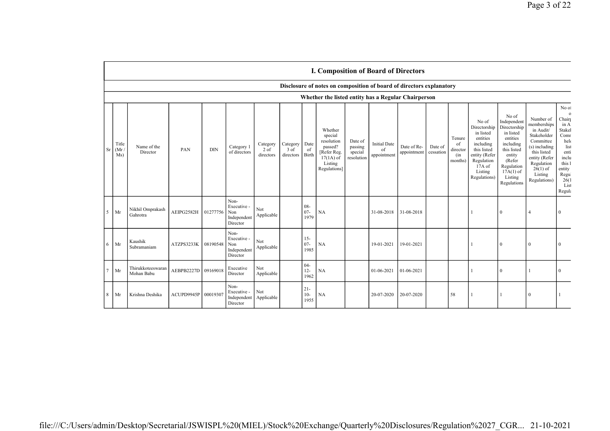|    | I. Composition of Board of Directors                |                                 |            |            |                                                       |                                 |                                 |                          |                                                                                                      |                                             |                                                                      |                            |                      |                                            |                                                                                                                                                |                                                                                                                                                                      |                                                                                                                                                                           |                                                                                                                                                   |
|----|-----------------------------------------------------|---------------------------------|------------|------------|-------------------------------------------------------|---------------------------------|---------------------------------|--------------------------|------------------------------------------------------------------------------------------------------|---------------------------------------------|----------------------------------------------------------------------|----------------------------|----------------------|--------------------------------------------|------------------------------------------------------------------------------------------------------------------------------------------------|----------------------------------------------------------------------------------------------------------------------------------------------------------------------|---------------------------------------------------------------------------------------------------------------------------------------------------------------------------|---------------------------------------------------------------------------------------------------------------------------------------------------|
|    |                                                     |                                 |            |            |                                                       |                                 |                                 |                          |                                                                                                      |                                             | Disclosure of notes on composition of board of directors explanatory |                            |                      |                                            |                                                                                                                                                |                                                                                                                                                                      |                                                                                                                                                                           |                                                                                                                                                   |
|    | Whether the listed entity has a Regular Chairperson |                                 |            |            |                                                       |                                 |                                 |                          |                                                                                                      |                                             |                                                                      |                            |                      |                                            |                                                                                                                                                |                                                                                                                                                                      |                                                                                                                                                                           |                                                                                                                                                   |
| Sr | Title<br>(Mr)<br>Ms)                                | Name of the<br>Director         | PAN        | <b>DIN</b> | Category 1<br>of directors                            | Category<br>$2$ of<br>directors | Category<br>$3$ of<br>directors | Date<br>of<br>Birth      | Whether<br>special<br>resolution<br>passed?<br>[Refer Reg.<br>$17(1A)$ of<br>Listing<br>Regulations] | Date of<br>passing<br>special<br>resolution | <b>Initial Date</b><br>of<br>appointment                             | Date of Re-<br>appointment | Date of<br>cessation | Tenure<br>of<br>director<br>(in<br>months) | No of<br>Directorship<br>in listed<br>entities<br>including<br>this listed<br>entity (Refer<br>Regulation<br>17A of<br>Listing<br>Regulations) | No of<br>Independent<br>Directorship<br>in listed<br>entities<br>including<br>this listed<br>entity<br>(Refer<br>Regulation<br>$17A(1)$ of<br>Listing<br>Regulations | Number of<br>memberships<br>in Audit/<br>Stakeholder<br>Committee<br>(s) including<br>this listed<br>entity (Refer<br>Regulation<br>$26(1)$ of<br>Listing<br>Regulations) | No of<br>$\mathbf 0$<br>Chairp<br>in A<br>Stakel<br>Comr<br>helo<br>list<br>enti<br>inclu<br>this 1<br>entity<br>Regul<br>26(1)<br>List<br>Regula |
| 5  | Mr                                                  | Nikhil Omprakash<br>Gahrotra    | AEIPG2582H | 01277756   | Non-<br>Executive -<br>Non<br>Independent<br>Director | Not<br>Applicable               |                                 | $08 -$<br>$07 -$<br>1979 | NA                                                                                                   |                                             | 31-08-2018                                                           | 31-08-2018                 |                      |                                            |                                                                                                                                                | $\Omega$                                                                                                                                                             | $\overline{4}$                                                                                                                                                            | $\theta$                                                                                                                                          |
| 6  | Mr                                                  | Kaushik<br>Subramaniam          | ATZPS3233K | 08190548   | Non-<br>Executive -<br>Non<br>Independent<br>Director | Not<br>Applicable               |                                 | $15 -$<br>$07 -$<br>1985 | NA                                                                                                   |                                             | 19-01-2021                                                           | 19-01-2021                 |                      |                                            |                                                                                                                                                | $\Omega$                                                                                                                                                             | $\Omega$                                                                                                                                                                  |                                                                                                                                                   |
|    | Mr                                                  | Thirukkoteeswaran<br>Mohan Babu | AEBPB2227D | 09169018   | Executive<br>Director                                 | Not<br>Applicable               |                                 | $04-$<br>$12 -$<br>1962  | NA                                                                                                   |                                             | $01 - 06 - 2021$                                                     | 01-06-2021                 |                      |                                            |                                                                                                                                                | $\Omega$                                                                                                                                                             |                                                                                                                                                                           | $\Omega$                                                                                                                                          |
| 8  | Mr                                                  | Krishna Deshika                 | ACUPD9945P | 00019307   | Non-<br>Executive -<br>Independent<br>Director        | Not<br>Applicable               |                                 | $21 -$<br>$10-$<br>1955  | NA                                                                                                   |                                             | 20-07-2020                                                           | 20-07-2020                 |                      | 58                                         |                                                                                                                                                |                                                                                                                                                                      | $\Omega$                                                                                                                                                                  |                                                                                                                                                   |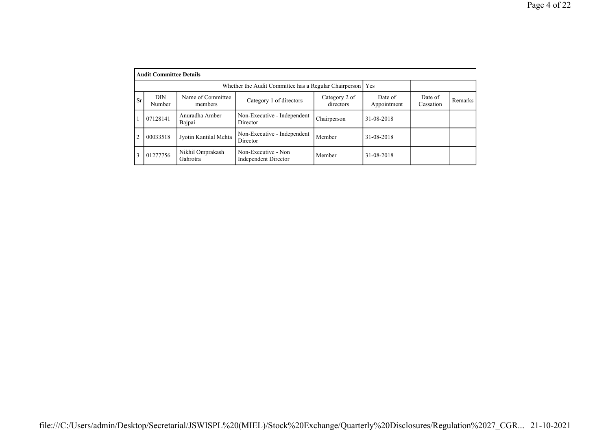|                                                             | <b>Audit Committee Details</b> |                              |                                             |                            |                        |                      |         |  |  |  |  |  |  |
|-------------------------------------------------------------|--------------------------------|------------------------------|---------------------------------------------|----------------------------|------------------------|----------------------|---------|--|--|--|--|--|--|
| Whether the Audit Committee has a Regular Chairperson   Yes |                                |                              |                                             |                            |                        |                      |         |  |  |  |  |  |  |
| Sr.                                                         | DIN<br>Number                  | Name of Committee<br>members | Category 1 of directors                     | Category 2 of<br>directors | Date of<br>Appointment | Date of<br>Cessation | Remarks |  |  |  |  |  |  |
|                                                             | 07128141                       | Anuradha Amber<br>Bajpai     | Non-Executive - Independent<br>Director     | Chairperson                | 31-08-2018             |                      |         |  |  |  |  |  |  |
| $\overline{2}$                                              | 00033518                       | Jyotin Kantilal Mehta        | Non-Executive - Independent<br>Director     | Member                     | 31-08-2018             |                      |         |  |  |  |  |  |  |
|                                                             | 01277756                       | Nikhil Omprakash<br>Gahrotra | Non-Executive - Non<br>Independent Director | Member                     | 31-08-2018             |                      |         |  |  |  |  |  |  |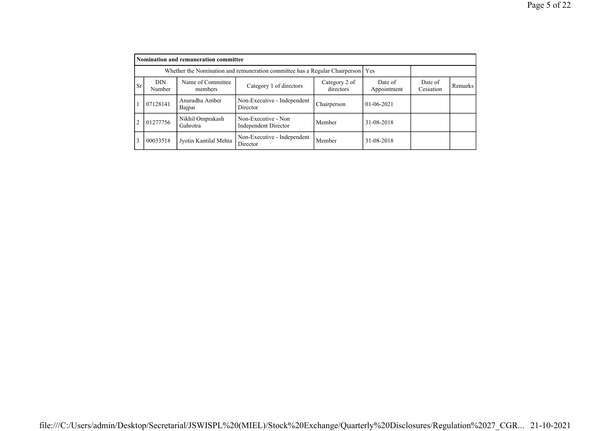|           | Nomination and remuneration committee |                                                                                   |                                             |                            |                        |                      |         |  |  |  |  |  |
|-----------|---------------------------------------|-----------------------------------------------------------------------------------|---------------------------------------------|----------------------------|------------------------|----------------------|---------|--|--|--|--|--|
|           |                                       | Whether the Nomination and remuneration committee has a Regular Chairperson   Yes |                                             |                            |                        |                      |         |  |  |  |  |  |
| <b>Sr</b> | <b>DIN</b><br>Number                  | Name of Committee<br>members                                                      | Category 1 of directors                     | Category 2 of<br>directors | Date of<br>Appointment | Date of<br>Cessation | Remarks |  |  |  |  |  |
|           | 07128141                              | Anuradha Amber<br>Bajpai                                                          | Non-Executive - Independent<br>Director     | Chairperson                | $01-06-2021$           |                      |         |  |  |  |  |  |
| 2         | 01277756                              | Nikhil Omprakash<br>Gahrotra                                                      | Non-Executive - Non<br>Independent Director | Member                     | 31-08-2018             |                      |         |  |  |  |  |  |
| 3         | 00033518                              | Jyotin Kantilal Mehta                                                             | Non-Executive - Independent<br>Director     | Member                     | 31-08-2018             |                      |         |  |  |  |  |  |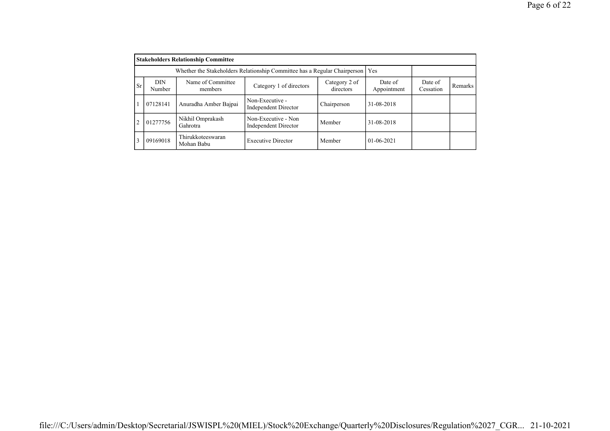|                | <b>Stakeholders Relationship Committee</b>                                      |                                 |                                             |                            |                        |                      |         |  |  |  |  |  |
|----------------|---------------------------------------------------------------------------------|---------------------------------|---------------------------------------------|----------------------------|------------------------|----------------------|---------|--|--|--|--|--|
|                | Whether the Stakeholders Relationship Committee has a Regular Chairperson   Yes |                                 |                                             |                            |                        |                      |         |  |  |  |  |  |
| <b>Sr</b>      | <b>DIN</b><br>Number                                                            | Name of Committee<br>members    | Category 1 of directors                     | Category 2 of<br>directors | Date of<br>Appointment | Date of<br>Cessation | Remarks |  |  |  |  |  |
|                | 07128141                                                                        | Anuradha Amber Bajpai           | Non-Executive -<br>Independent Director     | Chairperson                | 31-08-2018             |                      |         |  |  |  |  |  |
| $\overline{2}$ | 01277756                                                                        | Nikhil Omprakash<br>Gahrotra    | Non-Executive - Non<br>Independent Director | Member                     | 31-08-2018             |                      |         |  |  |  |  |  |
| 3              | 09169018                                                                        | Thirukkoteeswaran<br>Mohan Babu | <b>Executive Director</b>                   | Member                     | $01 - 06 - 2021$       |                      |         |  |  |  |  |  |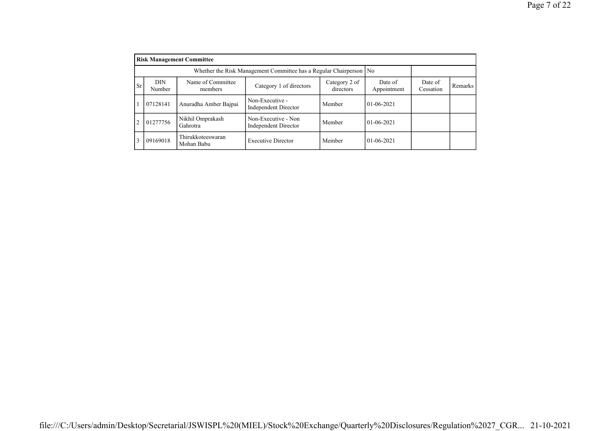|                |                      | <b>Risk Management Committee</b> |                                             |                            |                        |                      |         |
|----------------|----------------------|----------------------------------|---------------------------------------------|----------------------------|------------------------|----------------------|---------|
|                |                      |                                  |                                             |                            |                        |                      |         |
| <b>Sr</b>      | <b>DIN</b><br>Number | Name of Committee<br>members     | Category 1 of directors                     | Category 2 of<br>directors | Date of<br>Appointment | Date of<br>Cessation | Remarks |
|                | 07128141             | Anuradha Amber Bajpai            | Non-Executive -<br>Independent Director     | Member                     | $01-06-2021$           |                      |         |
| $\overline{c}$ | 01277756             | Nikhil Omprakash<br>Gahrotra     | Non-Executive - Non<br>Independent Director | Member                     | $01-06-2021$           |                      |         |
| 3              | 09169018             | Thirukkoteeswaran<br>Mohan Babu  | <b>Executive Director</b>                   | Member                     | $01-06-2021$           |                      |         |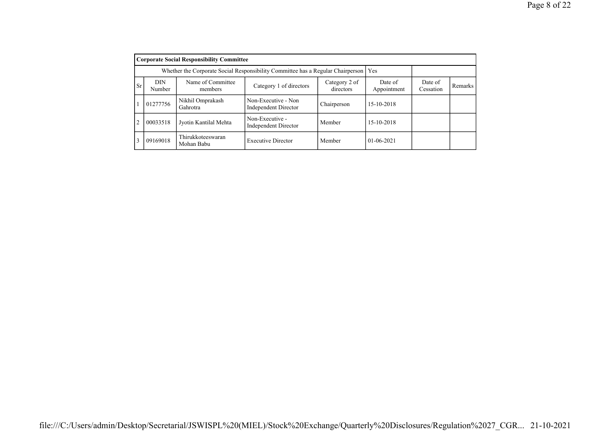|                | <b>Corporate Social Responsibility Committee</b>                                                                                        |                                 |                                             |             |                  |                      |         |  |  |  |  |  |
|----------------|-----------------------------------------------------------------------------------------------------------------------------------------|---------------------------------|---------------------------------------------|-------------|------------------|----------------------|---------|--|--|--|--|--|
|                | Whether the Corporate Social Responsibility Committee has a Regular Chairperson   Yes                                                   |                                 |                                             |             |                  |                      |         |  |  |  |  |  |
| <b>Sr</b>      | <b>DIN</b><br>Name of Committee<br>Date of<br>Category 2 of<br>Category 1 of directors<br>Appointment<br>directors<br>Number<br>members |                                 |                                             |             |                  | Date of<br>Cessation | Remarks |  |  |  |  |  |
|                | 01277756                                                                                                                                | Nikhil Omprakash<br>Gahrotra    | Non-Executive - Non<br>Independent Director | Chairperson | 15-10-2018       |                      |         |  |  |  |  |  |
| $\overline{2}$ | 00033518                                                                                                                                | Jyotin Kantilal Mehta           | Non-Executive -<br>Independent Director     | Member      | 15-10-2018       |                      |         |  |  |  |  |  |
| 3              | 09169018                                                                                                                                | Thirukkoteeswaran<br>Mohan Babu | <b>Executive Director</b>                   | Member      | $01 - 06 - 2021$ |                      |         |  |  |  |  |  |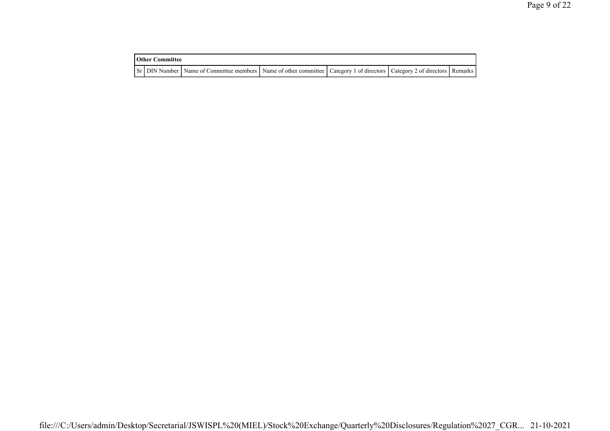|  | <b>Other Committee</b>                                                                                                              |  |  |  |  |  |  |  |  |
|--|-------------------------------------------------------------------------------------------------------------------------------------|--|--|--|--|--|--|--|--|
|  | Sr   DIN Number   Name of Committee members   Name of other committee   Category 1 of directors   Category 2 of directors   Remarks |  |  |  |  |  |  |  |  |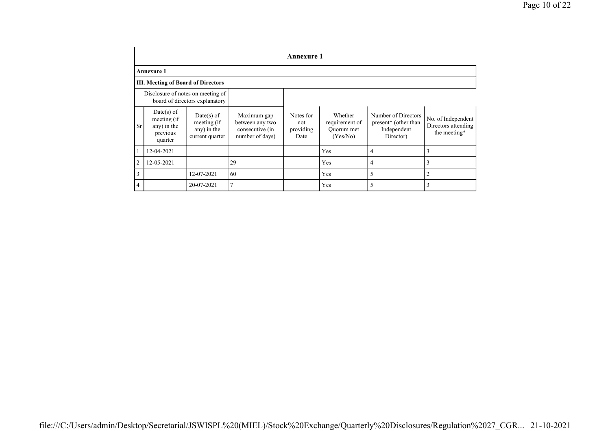|                | <b>Annexure 1</b>                                                   |                                                               |                                                                      |                                       |                                                     |                                                                         |                                                           |  |  |  |  |  |  |  |
|----------------|---------------------------------------------------------------------|---------------------------------------------------------------|----------------------------------------------------------------------|---------------------------------------|-----------------------------------------------------|-------------------------------------------------------------------------|-----------------------------------------------------------|--|--|--|--|--|--|--|
|                | <b>Annexure 1</b>                                                   |                                                               |                                                                      |                                       |                                                     |                                                                         |                                                           |  |  |  |  |  |  |  |
|                | <b>III. Meeting of Board of Directors</b>                           |                                                               |                                                                      |                                       |                                                     |                                                                         |                                                           |  |  |  |  |  |  |  |
|                | Disclosure of notes on meeting of<br>board of directors explanatory |                                                               |                                                                      |                                       |                                                     |                                                                         |                                                           |  |  |  |  |  |  |  |
| <b>Sr</b>      | $Date(s)$ of<br>meeting (if<br>any) in the<br>previous<br>quarter   | $Date(s)$ of<br>meeting (if<br>any) in the<br>current quarter | Maximum gap<br>between any two<br>consecutive (in<br>number of days) | Notes for<br>not<br>providing<br>Date | Whether<br>requirement of<br>Quorum met<br>(Yes/No) | Number of Directors<br>present* (other than<br>Independent<br>Director) | No. of Independent<br>Directors attending<br>the meeting* |  |  |  |  |  |  |  |
|                | 12-04-2021                                                          |                                                               |                                                                      |                                       | Yes                                                 | 4                                                                       | 3                                                         |  |  |  |  |  |  |  |
| $\overline{2}$ | 12-05-2021                                                          |                                                               | 29                                                                   |                                       | Yes                                                 | 4                                                                       | 3                                                         |  |  |  |  |  |  |  |
| 3              |                                                                     | 12-07-2021                                                    | 60                                                                   |                                       | Yes                                                 | 5                                                                       | 2                                                         |  |  |  |  |  |  |  |
| $\overline{4}$ |                                                                     | 20-07-2021                                                    |                                                                      |                                       | Yes                                                 | 5                                                                       | 3                                                         |  |  |  |  |  |  |  |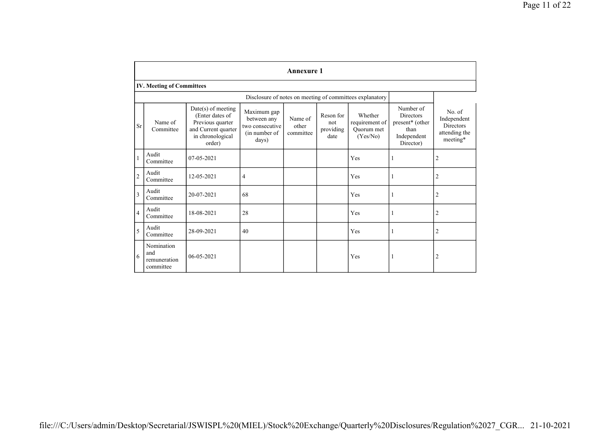|                | <b>Annexure 1</b>                              |                                                                                                                |                                                                         |                               |                                       |                                                          |                                                                                      |                                                                        |  |  |  |  |  |  |
|----------------|------------------------------------------------|----------------------------------------------------------------------------------------------------------------|-------------------------------------------------------------------------|-------------------------------|---------------------------------------|----------------------------------------------------------|--------------------------------------------------------------------------------------|------------------------------------------------------------------------|--|--|--|--|--|--|
|                | <b>IV. Meeting of Committees</b>               |                                                                                                                |                                                                         |                               |                                       |                                                          |                                                                                      |                                                                        |  |  |  |  |  |  |
|                |                                                |                                                                                                                |                                                                         |                               |                                       | Disclosure of notes on meeting of committees explanatory |                                                                                      |                                                                        |  |  |  |  |  |  |
| <b>Sr</b>      | Name of<br>Committee                           | Date(s) of meeting<br>(Enter dates of<br>Previous quarter<br>and Current quarter<br>in chronological<br>order) | Maximum gap<br>between any<br>two consecutive<br>(in number of<br>days) | Name of<br>other<br>committee | Reson for<br>not<br>providing<br>date | Whether<br>requirement of<br>Quorum met<br>(Yes/No)      | Number of<br><b>Directors</b><br>present* (other<br>than<br>Independent<br>Director) | No. of<br>Independent<br><b>Directors</b><br>attending the<br>meeting* |  |  |  |  |  |  |
| $\mathbf{1}$   | Audit<br>Committee                             | 07-05-2021                                                                                                     |                                                                         |                               |                                       | Yes                                                      |                                                                                      | $\overline{c}$                                                         |  |  |  |  |  |  |
| $\overline{c}$ | Audit<br>Committee                             | 12-05-2021                                                                                                     | 4                                                                       |                               |                                       | Yes                                                      |                                                                                      | $\overline{c}$                                                         |  |  |  |  |  |  |
| 3              | Audit<br>Committee                             | 20-07-2021                                                                                                     | 68                                                                      |                               |                                       | Yes                                                      |                                                                                      | $\overline{2}$                                                         |  |  |  |  |  |  |
| $\overline{4}$ | Audit<br>Committee                             | 18-08-2021                                                                                                     | 28                                                                      |                               |                                       | Yes                                                      |                                                                                      | $\overline{2}$                                                         |  |  |  |  |  |  |
| 5              | Audit<br>Committee                             | 28-09-2021                                                                                                     | 40                                                                      |                               |                                       | Yes                                                      |                                                                                      | $\overline{2}$                                                         |  |  |  |  |  |  |
| 6              | Nomination<br>and<br>remuneration<br>committee | 06-05-2021                                                                                                     |                                                                         |                               |                                       | Yes                                                      |                                                                                      | $\overline{c}$                                                         |  |  |  |  |  |  |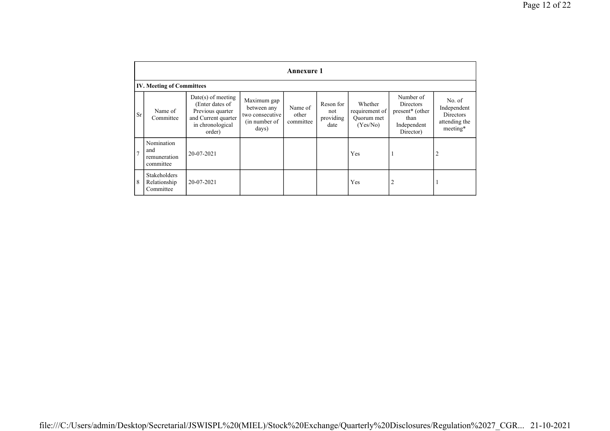|                | <b>Annexure 1</b>                                |                                                                                                                  |                                                                         |                               |                                       |                                                     |                                                                                                  |                                                                        |  |  |  |  |  |  |
|----------------|--------------------------------------------------|------------------------------------------------------------------------------------------------------------------|-------------------------------------------------------------------------|-------------------------------|---------------------------------------|-----------------------------------------------------|--------------------------------------------------------------------------------------------------|------------------------------------------------------------------------|--|--|--|--|--|--|
|                | <b>IV. Meeting of Committees</b>                 |                                                                                                                  |                                                                         |                               |                                       |                                                     |                                                                                                  |                                                                        |  |  |  |  |  |  |
| Sr             | Name of<br>Committee                             | $Date(s)$ of meeting<br>(Enter dates of<br>Previous quarter<br>and Current quarter<br>in chronological<br>order) | Maximum gap<br>between any<br>two consecutive<br>(in number of<br>days) | Name of<br>other<br>committee | Reson for<br>not<br>providing<br>date | Whether<br>requirement of<br>Quorum met<br>(Yes/No) | Number of<br><b>Directors</b><br>present <sup>*</sup> (other<br>than<br>Independent<br>Director) | No. of<br>Independent<br><b>Directors</b><br>attending the<br>meeting* |  |  |  |  |  |  |
| $\overline{7}$ | Nomination<br>and<br>remuneration<br>committee   | 20-07-2021                                                                                                       |                                                                         |                               |                                       | Yes                                                 |                                                                                                  | $\overline{2}$                                                         |  |  |  |  |  |  |
| 8              | <b>Stakeholders</b><br>Relationship<br>Committee | 20-07-2021                                                                                                       |                                                                         |                               |                                       | Yes                                                 | 2                                                                                                |                                                                        |  |  |  |  |  |  |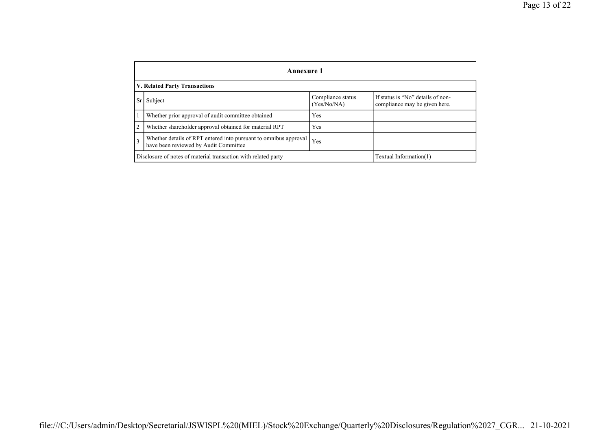|                | Annexure 1                                                                                                |                                  |                                                                    |  |  |
|----------------|-----------------------------------------------------------------------------------------------------------|----------------------------------|--------------------------------------------------------------------|--|--|
|                | <b>V. Related Party Transactions</b>                                                                      |                                  |                                                                    |  |  |
| Sr             | Subject                                                                                                   | Compliance status<br>(Yes/No/NA) | If status is "No" details of non-<br>compliance may be given here. |  |  |
|                | Whether prior approval of audit committee obtained                                                        | Yes                              |                                                                    |  |  |
| $\overline{2}$ | Whether shareholder approval obtained for material RPT                                                    | Yes                              |                                                                    |  |  |
| $\overline{3}$ | Whether details of RPT entered into pursuant to omnibus approval<br>have been reviewed by Audit Committee | Yes                              |                                                                    |  |  |
|                | Disclosure of notes of material transaction with related party<br>Textual Information(1)                  |                                  |                                                                    |  |  |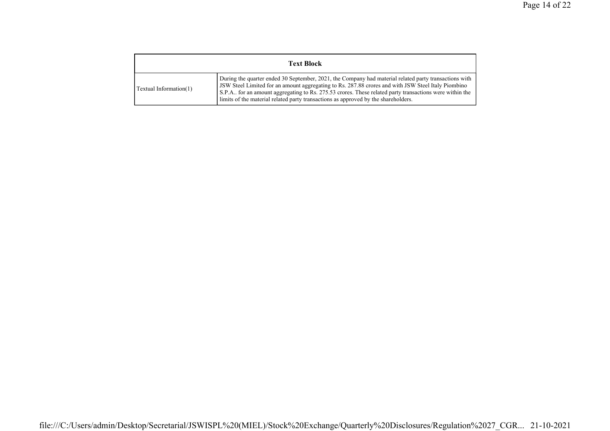| <b>Text Block</b>      |                                                                                                                                                                                                                                                                                                                                                                                                               |  |
|------------------------|---------------------------------------------------------------------------------------------------------------------------------------------------------------------------------------------------------------------------------------------------------------------------------------------------------------------------------------------------------------------------------------------------------------|--|
| Textual Information(1) | During the quarter ended 30 September, 2021, the Company had material related party transactions with<br>JSW Steel Limited for an amount aggregating to Rs. 287.88 crores and with JSW Steel Italy Piombino<br>S.P.A., for an amount aggregating to Rs. 275.53 crores. These related party transactions were within the<br>limits of the material related party transactions as approved by the shareholders. |  |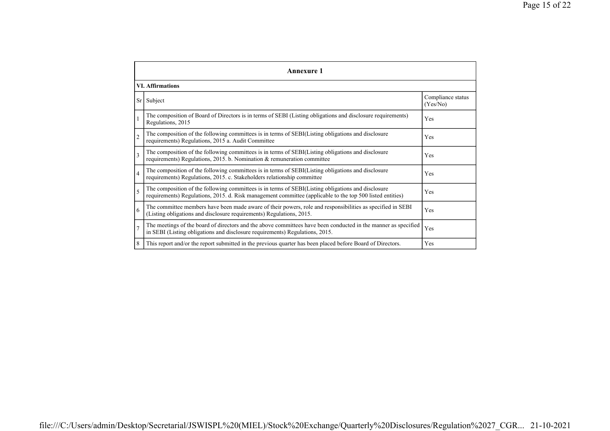|                | Annexure 1                                                                                                                                                                                                      |                               |  |  |
|----------------|-----------------------------------------------------------------------------------------------------------------------------------------------------------------------------------------------------------------|-------------------------------|--|--|
|                | <b>VI. Affirmations</b>                                                                                                                                                                                         |                               |  |  |
| Sr             | Subject                                                                                                                                                                                                         | Compliance status<br>(Yes/No) |  |  |
| 1              | The composition of Board of Directors is in terms of SEBI (Listing obligations and disclosure requirements)<br>Regulations, 2015                                                                                | Yes                           |  |  |
| $\overline{2}$ | The composition of the following committees is in terms of SEBI(Listing obligations and disclosure<br>requirements) Regulations, 2015 a. Audit Committee                                                        | Yes                           |  |  |
| 3              | The composition of the following committees is in terms of SEBI(Listing obligations and disclosure<br>requirements) Regulations, 2015. b. Nomination & remuneration committee                                   | Yes                           |  |  |
| $\overline{4}$ | The composition of the following committees is in terms of SEBI(Listing obligations and disclosure<br>requirements) Regulations, 2015. c. Stakeholders relationship committee                                   | Yes                           |  |  |
| 5              | The composition of the following committees is in terms of SEBI(Listing obligations and disclosure<br>requirements) Regulations, 2015. d. Risk management committee (applicable to the top 500 listed entities) | Yes                           |  |  |
| 6              | The committee members have been made aware of their powers, role and responsibilities as specified in SEBI<br>(Listing obligations and disclosure requirements) Regulations, 2015.                              | Yes                           |  |  |
| $\overline{7}$ | The meetings of the board of directors and the above committees have been conducted in the manner as specified<br>in SEBI (Listing obligations and disclosure requirements) Regulations, 2015.                  | Yes                           |  |  |
| 8              | This report and/or the report submitted in the previous quarter has been placed before Board of Directors.                                                                                                      | Yes                           |  |  |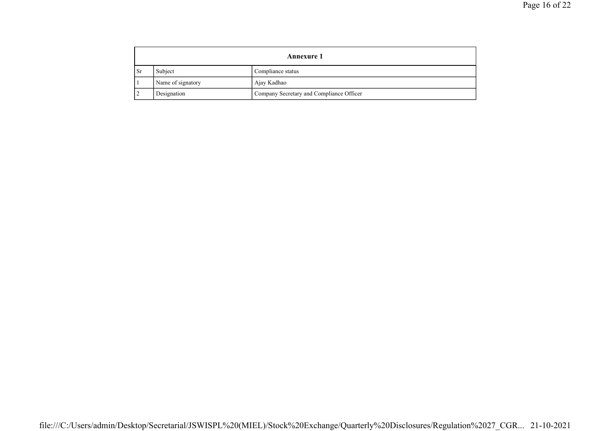|           | <b>Annexure 1</b> |                                          |  |
|-----------|-------------------|------------------------------------------|--|
| <b>Sr</b> | Subject           | Compliance status                        |  |
|           | Name of signatory | Ajay Kadhao                              |  |
|           | Designation       | Company Secretary and Compliance Officer |  |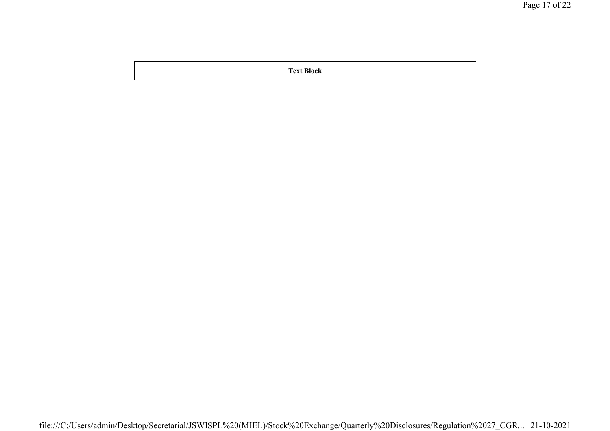Text Block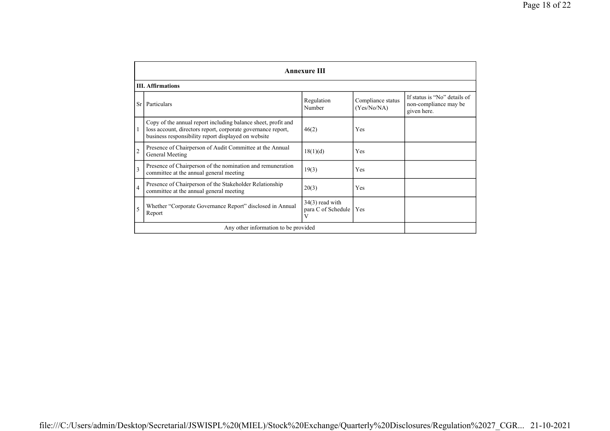|                | <b>Annexure III</b>                                                                                                                                                                  |                                              |                                  |                                                                      |  |
|----------------|--------------------------------------------------------------------------------------------------------------------------------------------------------------------------------------|----------------------------------------------|----------------------------------|----------------------------------------------------------------------|--|
|                | <b>III.</b> Affirmations                                                                                                                                                             |                                              |                                  |                                                                      |  |
| Sr.            | Particulars                                                                                                                                                                          | Regulation<br>Number                         | Compliance status<br>(Yes/No/NA) | If status is "No" details of<br>non-compliance may be<br>given here. |  |
| 1              | Copy of the annual report including balance sheet, profit and<br>loss account, directors report, corporate governance report,<br>business responsibility report displayed on website | 46(2)                                        | Yes                              |                                                                      |  |
| $\overline{c}$ | Presence of Chairperson of Audit Committee at the Annual<br>General Meeting                                                                                                          | 18(1)(d)                                     | Yes                              |                                                                      |  |
| 3              | Presence of Chairperson of the nomination and remuneration<br>committee at the annual general meeting                                                                                | 19(3)                                        | Yes                              |                                                                      |  |
| $\overline{4}$ | Presence of Chairperson of the Stakeholder Relationship<br>committee at the annual general meeting                                                                                   | 20(3)                                        | Yes                              |                                                                      |  |
| 5              | Whether "Corporate Governance Report" disclosed in Annual<br>Report                                                                                                                  | $34(3)$ read with<br>para C of Schedule<br>V | Yes                              |                                                                      |  |
|                | Any other information to be provided                                                                                                                                                 |                                              |                                  |                                                                      |  |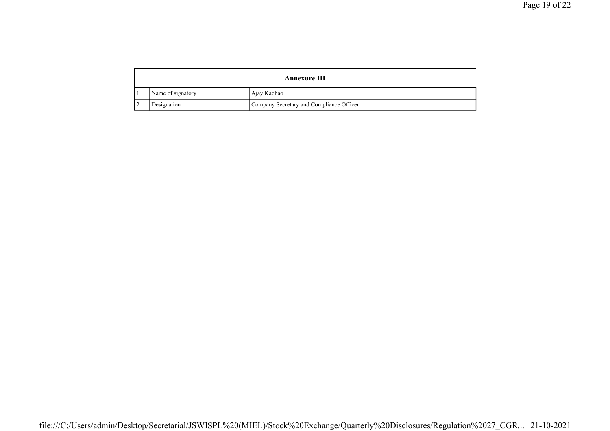|   | <b>Annexure III</b> |                                          |  |
|---|---------------------|------------------------------------------|--|
|   | Name of signatory   | Ajay Kadhao                              |  |
| ∸ | Designation         | Company Secretary and Compliance Officer |  |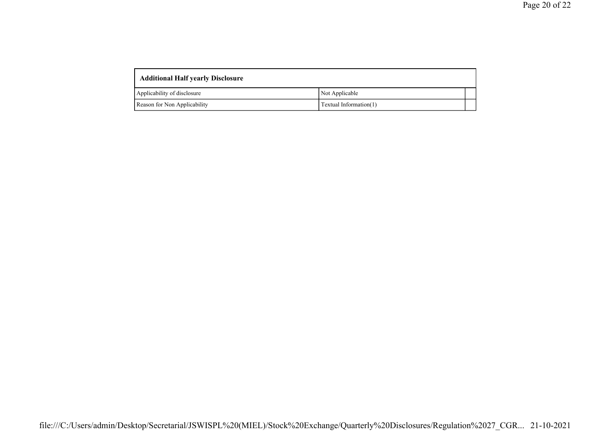| <b>Additional Half yearly Disclosure</b> |                        |  |  |
|------------------------------------------|------------------------|--|--|
| Applicability of disclosure              | Not Applicable         |  |  |
| Reason for Non Applicability             | Textual Information(1) |  |  |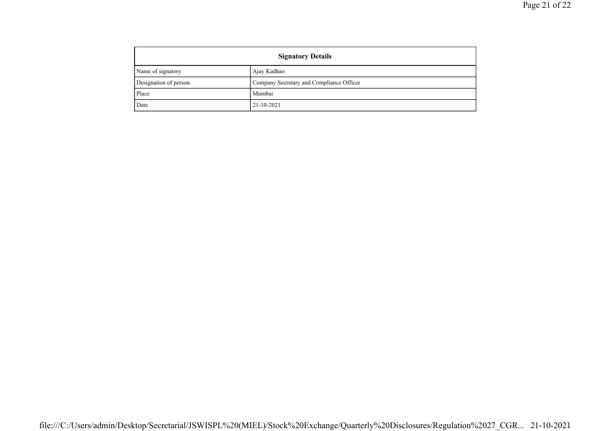| <b>Signatory Details</b> |                                          |
|--------------------------|------------------------------------------|
| Name of signatory        | Ajay Kadhao                              |
| Designation of person    | Company Secretary and Compliance Officer |
| Place                    | Mumbai                                   |
| Date                     | $21 - 10 - 2021$                         |